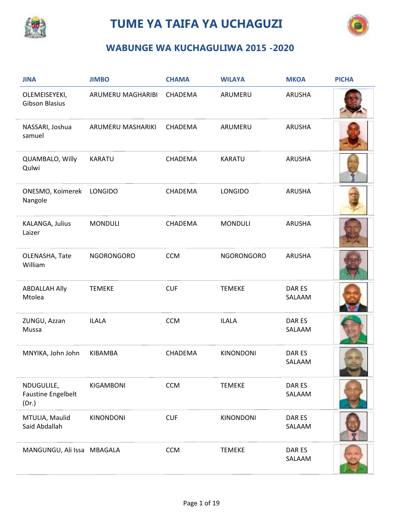

## **TUME YA TAIFA YA UCHAGUZI**



## **WABUNGE WA KUCHAGULIWA 2015 -2020**

| <b>JINA</b>                                      | <b>JIMBO</b>      | <b>CHAMA</b> | <b>WILAYA</b>     | <b>MKOA</b>      | <b>PICHA</b> |
|--------------------------------------------------|-------------------|--------------|-------------------|------------------|--------------|
| OLEMEISEYEKI,<br><b>Gibson Blasius</b>           | ARUMERU MAGHARIBI | CHADEMA      | ARUMERU           | ARUSHA           |              |
| NASSARI, Joshua<br>samuel                        | ARUMERU MASHARIKI | CHADEMA      | ARUMERU           | ARUSHA           |              |
| QUAMBALO, Willy<br>Qulwi                         | <b>KARATU</b>     | CHADEMA      | <b>KARATU</b>     | ARUSHA           |              |
| ONESMO, Koimerek<br>Nangole                      | <b>LONGIDO</b>    | CHADEMA      | LONGIDO           | ARUSHA           |              |
| KALANGA, Julius<br>Laizer                        | <b>MONDULI</b>    | CHADEMA      | <b>MONDULI</b>    | <b>ARUSHA</b>    |              |
| OLENASHA, Tate<br>William                        | <b>NGORONGORO</b> | <b>CCM</b>   | <b>NGORONGORO</b> | ARUSHA           |              |
| <b>ABDALLAH Ally</b><br>Mtolea                   | <b>TEMEKE</b>     | <b>CUF</b>   | <b>TEMEKE</b>     | DAR ES<br>SALAAM |              |
| ZUNGU, Azzan<br>Mussa                            | <b>ILALA</b>      | <b>CCM</b>   | <b>ILALA</b>      | DAR ES<br>SALAAM |              |
| MNYIKA, John John                                | <b>KIBAMBA</b>    | CHADEMA      | <b>KINONDONI</b>  | DAR ES<br>SALAAM |              |
| NDUGULILE,<br><b>Faustine Engelbelt</b><br>(Dr.) | KIGAMBONI         | <b>CCM</b>   | <b>TEMEKE</b>     | DAR ES<br>SALAAM |              |
| MTULIA, Maulid<br>Said Abdallah                  | KINONDONI         | <b>CUF</b>   | <b>KINONDONI</b>  | DAR ES<br>SALAAM |              |
| MANGUNGU, Ali Issa MBAGALA                       |                   | <b>CCM</b>   | <b>TEMEKE</b>     | DAR ES<br>SALAAM |              |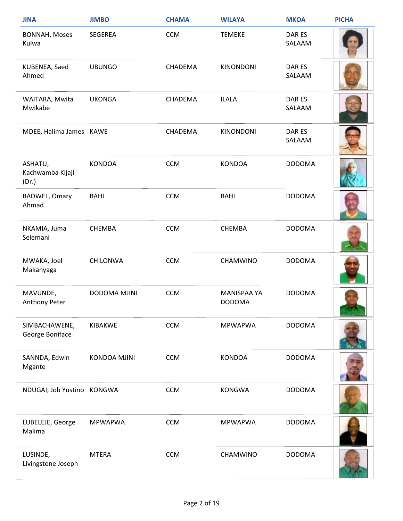| <b>JINA</b>                          | <b>JIMBO</b>        | <b>CHAMA</b> | <b>WILAYA</b>                       | <b>MKOA</b>      | <b>PICHA</b> |
|--------------------------------------|---------------------|--------------|-------------------------------------|------------------|--------------|
| <b>BONNAH, Moses</b><br>Kulwa        | <b>SEGEREA</b>      | <b>CCM</b>   | <b>TEMEKE</b>                       | DAR ES<br>SALAAM |              |
| KUBENEA, Saed<br>Ahmed               | <b>UBUNGO</b>       | CHADEMA      | <b>KINONDONI</b>                    | DAR ES<br>SALAAM |              |
| WAITARA, Mwita<br>Mwikabe            | <b>UKONGA</b>       | CHADEMA      | <b>ILALA</b>                        | DAR ES<br>SALAAM |              |
| MDEE, Halima James KAWE              |                     | CHADEMA      | <b>KINONDONI</b>                    | DAR ES<br>SALAAM |              |
| ASHATU,<br>Kachwamba Kijaji<br>(Dr.) | <b>KONDOA</b>       | <b>CCM</b>   | <b>KONDOA</b>                       | <b>DODOMA</b>    |              |
| <b>BADWEL, Omary</b><br>Ahmad        | <b>BAHI</b>         | <b>CCM</b>   | <b>BAHI</b>                         | <b>DODOMA</b>    |              |
| NKAMIA, Juma<br>Selemani             | <b>CHEMBA</b>       | <b>CCM</b>   | <b>CHEMBA</b>                       | <b>DODOMA</b>    |              |
| MWAKA, Joel<br>Makanyaga             | <b>CHILONWA</b>     | <b>CCM</b>   | CHAMWINO                            | <b>DODOMA</b>    |              |
| MAVUNDE,<br>Anthony Peter            | <b>DODOMA MJINI</b> | <b>CCM</b>   | <b>MANISPAA YA</b><br><b>DODOMA</b> | <b>DODOMA</b>    |              |
| SIMBACHAWENE,<br>George Boniface     | KIBAKWE             | <b>CCM</b>   | <b>MPWAPWA</b>                      | <b>DODOMA</b>    |              |
| SANNDA, Edwin<br>Mgante              | <b>KONDOA MJINI</b> | <b>CCM</b>   | <b>KONDOA</b>                       | <b>DODOMA</b>    |              |
| NDUGAI, Job Yustino KONGWA           |                     | <b>CCM</b>   | <b>KONGWA</b>                       | <b>DODOMA</b>    |              |
| LUBELEJE, George<br>Malima           | <b>MPWAPWA</b>      | <b>CCM</b>   | <b>MPWAPWA</b>                      | <b>DODOMA</b>    |              |
| LUSINDE,<br>Livingstone Joseph       | <b>MTERA</b>        | <b>CCM</b>   | CHAMWINO                            | <b>DODOMA</b>    |              |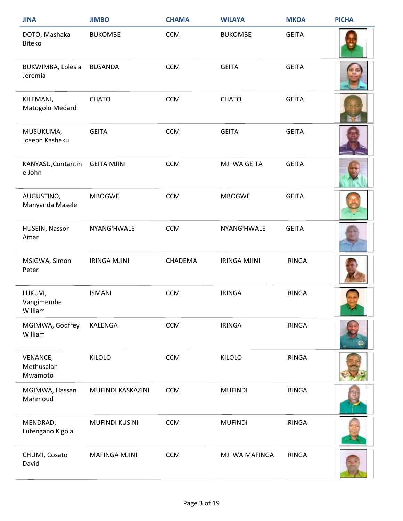| <b>JINA</b>                       | <b>JIMBO</b>          | <b>CHAMA</b> | <b>WILAYA</b>       | <b>MKOA</b>   | <b>PICHA</b> |
|-----------------------------------|-----------------------|--------------|---------------------|---------------|--------------|
| DOTO, Mashaka<br>Biteko           | <b>BUKOMBE</b>        | <b>CCM</b>   | <b>BUKOMBE</b>      | <b>GEITA</b>  |              |
| BUKWIMBA, Lolesia<br>Jeremia      | <b>BUSANDA</b>        | <b>CCM</b>   | <b>GEITA</b>        | <b>GEITA</b>  |              |
| KILEMANI,<br>Matogolo Medard      | <b>CHATO</b>          | <b>CCM</b>   | <b>CHATO</b>        | <b>GEITA</b>  |              |
| MUSUKUMA,<br>Joseph Kasheku       | <b>GEITA</b>          | <b>CCM</b>   | <b>GEITA</b>        | <b>GEITA</b>  |              |
| KANYASU, Contantin<br>e John      | <b>GEITA MJINI</b>    | <b>CCM</b>   | MJI WA GEITA        | <b>GEITA</b>  |              |
| AUGUSTINO,<br>Manyanda Masele     | <b>MBOGWE</b>         | <b>CCM</b>   | <b>MBOGWE</b>       | <b>GEITA</b>  |              |
| HUSEIN, Nassor<br>Amar            | NYANG'HWALE           | <b>CCM</b>   | NYANG'HWALE         | <b>GEITA</b>  |              |
| MSIGWA, Simon<br>Peter            | <b>IRINGA MJINI</b>   | CHADEMA      | <b>IRINGA MJINI</b> | <b>IRINGA</b> |              |
| LUKUVI,<br>Vangimembe<br>William  | <b>ISMANI</b>         | <b>CCM</b>   | <b>IRINGA</b>       | <b>IRINGA</b> |              |
| MGIMWA, Godfrey<br>William        | KALENGA               | <b>CCM</b>   | <b>IRINGA</b>       | <b>IRINGA</b> |              |
| VENANCE,<br>Methusalah<br>Mwamoto | <b>KILOLO</b>         | <b>CCM</b>   | <b>KILOLO</b>       | <b>IRINGA</b> |              |
| MGIMWA, Hassan<br>Mahmoud         | MUFINDI KASKAZINI     | <b>CCM</b>   | <b>MUFINDI</b>      | <b>IRINGA</b> |              |
| MENDRAD,<br>Lutengano Kigola      | <b>MUFINDI KUSINI</b> | <b>CCM</b>   | <b>MUFINDI</b>      | <b>IRINGA</b> |              |
| CHUMI, Cosato<br>David            | <b>MAFINGA MJINI</b>  | <b>CCM</b>   | MJI WA MAFINGA      | <b>IRINGA</b> |              |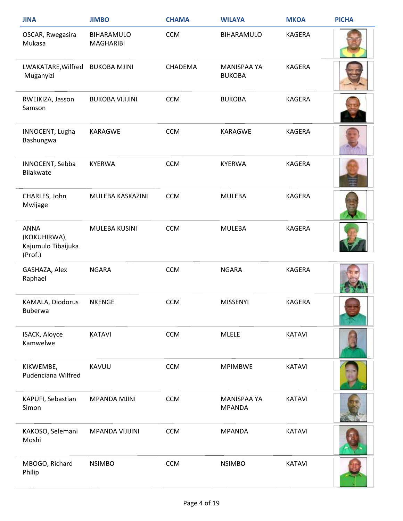| <b>JINA</b>                                                  | <b>JIMBO</b>                          | <b>CHAMA</b> | <b>WILAYA</b>                       | <b>MKOA</b>   | <b>PICHA</b> |
|--------------------------------------------------------------|---------------------------------------|--------------|-------------------------------------|---------------|--------------|
| OSCAR, Rwegasira<br>Mukasa                                   | <b>BIHARAMULO</b><br><b>MAGHARIBI</b> | <b>CCM</b>   | BIHARAMULO                          | <b>KAGERA</b> |              |
| LWAKATARE, Wilfred<br>Muganyizi                              | <b>BUKOBA MJINI</b>                   | CHADEMA      | <b>MANISPAA YA</b><br><b>BUKOBA</b> | <b>KAGERA</b> |              |
| RWEIKIZA, Jasson<br>Samson                                   | <b>BUKOBA VIJIJINI</b>                | <b>CCM</b>   | <b>BUKOBA</b>                       | KAGERA        |              |
| INNOCENT, Lugha<br>Bashungwa                                 | <b>KARAGWE</b>                        | <b>CCM</b>   | <b>KARAGWE</b>                      | <b>KAGERA</b> |              |
| INNOCENT, Sebba<br>Bilakwate                                 | <b>KYERWA</b>                         | <b>CCM</b>   | <b>KYERWA</b>                       | <b>KAGERA</b> |              |
| CHARLES, John<br>Mwijage                                     | MULEBA KASKAZINI                      | <b>CCM</b>   | <b>MULEBA</b>                       | KAGERA        |              |
| <b>ANNA</b><br>(KOKUHIRWA),<br>Kajumulo Tibaijuka<br>(Prof.) | MULEBA KUSINI                         | <b>CCM</b>   | <b>MULEBA</b>                       | <b>KAGERA</b> |              |
| GASHAZA, Alex<br>Raphael                                     | <b>NGARA</b>                          | <b>CCM</b>   | <b>NGARA</b>                        | KAGERA        |              |
| KAMALA, Diodorus<br>Buberwa                                  | <b>NKENGE</b>                         | <b>CCM</b>   | <b>MISSENYI</b>                     | <b>KAGERA</b> |              |
| ISACK, Aloyce<br>Kamwelwe                                    | <b>KATAVI</b>                         | <b>CCM</b>   | <b>MLELE</b>                        | <b>KATAVI</b> |              |
| KIKWEMBE,<br>Pudenciana Wilfred                              | KAVUU                                 | <b>CCM</b>   | <b>MPIMBWE</b>                      | <b>KATAVI</b> |              |
| KAPUFI, Sebastian<br>Simon                                   | <b>MPANDA MJINI</b>                   | <b>CCM</b>   | MANISPAA YA<br><b>MPANDA</b>        | <b>KATAVI</b> |              |
| KAKOSO, Selemani<br>Moshi                                    | <b>MPANDA VIJIJINI</b>                | <b>CCM</b>   | <b>MPANDA</b>                       | <b>KATAVI</b> |              |
| MBOGO, Richard<br>Philip                                     | <b>NSIMBO</b>                         | <b>CCM</b>   | <b>NSIMBO</b>                       | <b>KATAVI</b> |              |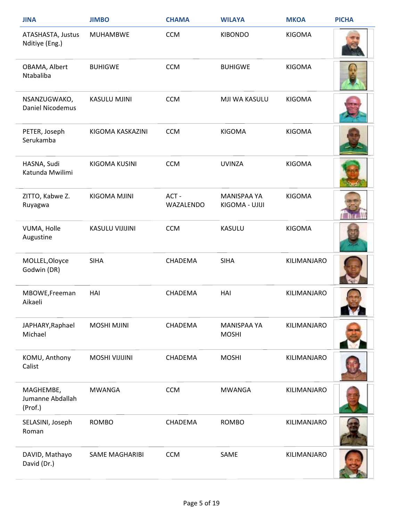| <b>JINA</b>                              | <b>JIMBO</b>           | <b>CHAMA</b>      | <b>WILAYA</b>                 | <b>MKOA</b>   | <b>PICHA</b>             |
|------------------------------------------|------------------------|-------------------|-------------------------------|---------------|--------------------------|
| ATASHASTA, Justus<br>Nditiye (Eng.)      | <b>MUHAMBWE</b>        | <b>CCM</b>        | <b>KIBONDO</b>                | <b>KIGOMA</b> |                          |
| OBAMA, Albert<br>Ntabaliba               | <b>BUHIGWE</b>         | <b>CCM</b>        | <b>BUHIGWE</b>                | <b>KIGOMA</b> |                          |
| NSANZUGWAKO,<br>Daniel Nicodemus         | KASULU MJINI           | <b>CCM</b>        | MJI WA KASULU                 | <b>KIGOMA</b> |                          |
| PETER, Joseph<br>Serukamba               | KIGOMA KASKAZINI       | <b>CCM</b>        | <b>KIGOMA</b>                 | <b>KIGOMA</b> |                          |
| HASNA, Sudi<br>Katunda Mwilimi           | <b>KIGOMA KUSINI</b>   | <b>CCM</b>        | <b>UVINZA</b>                 | <b>KIGOMA</b> |                          |
| ZITTO, Kabwe Z.<br>Ruyagwa               | KIGOMA MJINI           | ACT-<br>WAZALENDO | MANISPAA YA<br>KIGOMA - UJIJI | <b>KIGOMA</b> |                          |
| VUMA, Holle<br>Augustine                 | <b>KASULU VIJIJINI</b> | <b>CCM</b>        | <b>KASULU</b>                 | <b>KIGOMA</b> |                          |
| MOLLEL, Oloyce<br>Godwin (DR)            | <b>SIHA</b>            | CHADEMA           | <b>SIHA</b>                   | KILIMANJARO   |                          |
| MBOWE, Freeman<br>Aikaeli                | HAI                    | CHADEMA           | HAI                           | KILIMANJARO   | <b>START OF BUILDING</b> |
| JAPHARY, Raphael<br>Michael              | <b>MOSHI MJINI</b>     | CHADEMA           | MANISPAA YA<br><b>MOSHI</b>   | KILIMANJARO   |                          |
| KOMU, Anthony<br>Calist                  | <b>MOSHI VIJIJINI</b>  | CHADEMA           | <b>MOSHI</b>                  | KILIMANJARO   |                          |
| MAGHEMBE,<br>Jumanne Abdallah<br>(Prof.) | <b>MWANGA</b>          | <b>CCM</b>        | <b>MWANGA</b>                 | KILIMANJARO   |                          |
| SELASINI, Joseph<br>Roman                | <b>ROMBO</b>           | CHADEMA           | <b>ROMBO</b>                  | KILIMANJARO   |                          |
| DAVID, Mathayo<br>David (Dr.)            | <b>SAME MAGHARIBI</b>  | <b>CCM</b>        | SAME                          | KILIMANJARO   |                          |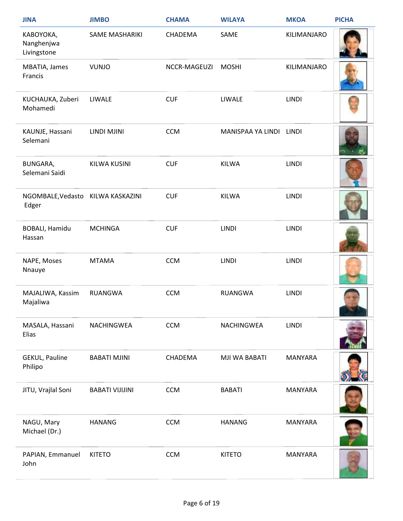| <b>JINA</b>                                | <b>JIMBO</b>           | <b>CHAMA</b> | <b>WILAYA</b>     | <b>MKOA</b>    | <b>PICHA</b> |
|--------------------------------------------|------------------------|--------------|-------------------|----------------|--------------|
| КАВОҮОКА,<br>Nanghenjwa<br>Livingstone     | SAME MASHARIKI         | CHADEMA      | SAME              | KILIMANJARO    |              |
| MBATIA, James<br>Francis                   | <b>VUNJO</b>           | NCCR-MAGEUZI | <b>MOSHI</b>      | KILIMANJARO    |              |
| KUCHAUKA, Zuberi<br>Mohamedi               | LIWALE                 | <b>CUF</b>   | LIWALE            | <b>LINDI</b>   |              |
| KAUNJE, Hassani<br>Selemani                | LINDI MJINI            | <b>CCM</b>   | MANISPAA YA LINDI | <b>LINDI</b>   |              |
| <b>BUNGARA,</b><br>Selemani Saidi          | <b>KILWA KUSINI</b>    | <b>CUF</b>   | <b>KILWA</b>      | <b>LINDI</b>   |              |
| NGOMBALE, Vedasto KILWA KASKAZINI<br>Edger |                        | <b>CUF</b>   | <b>KILWA</b>      | <b>LINDI</b>   |              |
| <b>BOBALI, Hamidu</b><br>Hassan            | <b>MCHINGA</b>         | <b>CUF</b>   | <b>LINDI</b>      | <b>LINDI</b>   |              |
| NAPE, Moses<br>Nnauye                      | <b>MTAMA</b>           | <b>CCM</b>   | <b>LINDI</b>      | <b>LINDI</b>   |              |
| MAJALIWA, Kassim<br>Majaliwa               | <b>RUANGWA</b>         | <b>CCM</b>   | <b>RUANGWA</b>    | <b>LINDI</b>   |              |
| MASALA, Hassani<br>Elias                   | NACHINGWEA             | <b>CCM</b>   | NACHINGWEA        | LINDI          |              |
| <b>GEKUL, Pauline</b><br>Philipo           | <b>BABATI MJINI</b>    | CHADEMA      | MJI WA BABATI     | <b>MANYARA</b> |              |
| JITU, Vrajlal Soni                         | <b>BABATI VIJIJINI</b> | <b>CCM</b>   | <b>BABATI</b>     | MANYARA        |              |
| NAGU, Mary<br>Michael (Dr.)                | <b>HANANG</b>          | <b>CCM</b>   | <b>HANANG</b>     | <b>MANYARA</b> |              |
| PAPIAN, Emmanuel<br>John                   | <b>KITETO</b>          | <b>CCM</b>   | <b>KITETO</b>     | MANYARA        |              |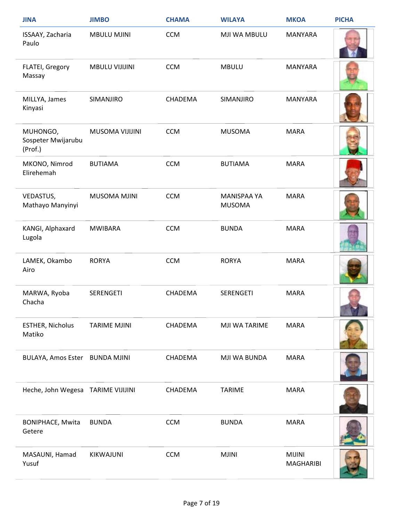| <b>JINA</b>                               | <b>JIMBO</b>           | <b>CHAMA</b> | <b>WILAYA</b>                       | <b>MKOA</b>                | <b>PICHA</b> |
|-------------------------------------------|------------------------|--------------|-------------------------------------|----------------------------|--------------|
| ISSAAY, Zacharia<br>Paulo                 | <b>MBULU MJINI</b>     | <b>CCM</b>   | MJI WA MBULU                        | <b>MANYARA</b>             |              |
| FLATEI, Gregory<br>Massay                 | <b>MBULU VIJIJINI</b>  | <b>CCM</b>   | <b>MBULU</b>                        | <b>MANYARA</b>             |              |
| MILLYA, James<br>Kinyasi                  | SIMANJIRO              | CHADEMA      | SIMANJIRO                           | <b>MANYARA</b>             |              |
| MUHONGO,<br>Sospeter Mwijarubu<br>(Prof.) | <b>MUSOMA VIJIJINI</b> | <b>CCM</b>   | <b>MUSOMA</b>                       | <b>MARA</b>                |              |
| MKONO, Nimrod<br>Elirehemah               | <b>BUTIAMA</b>         | <b>CCM</b>   | <b>BUTIAMA</b>                      | <b>MARA</b>                |              |
| VEDASTUS,<br>Mathayo Manyinyi             | MUSOMA MJINI           | <b>CCM</b>   | <b>MANISPAA YA</b><br><b>MUSOMA</b> | <b>MARA</b>                |              |
| KANGI, Alphaxard<br>Lugola                | <b>MWIBARA</b>         | <b>CCM</b>   | <b>BUNDA</b>                        | <b>MARA</b>                |              |
| LAMEK, Okambo<br>Airo                     | <b>RORYA</b>           | <b>CCM</b>   | <b>RORYA</b>                        | <b>MARA</b>                |              |
| MARWA, Ryoba<br>Chacha                    | <b>SERENGETI</b>       | CHADEMA      | <b>SERENGETI</b>                    | <b>MARA</b>                |              |
| <b>ESTHER, Nicholus</b><br>Matiko         | <b>TARIME MJINI</b>    | CHADEMA      | MJI WA TARIME                       | <b>MARA</b>                |              |
| BULAYA, Amos Ester BUNDA MJINI            |                        | CHADEMA      | MJI WA BUNDA                        | <b>MARA</b>                |              |
| Heche, John Wegesa TARIME VIJIJINI        |                        | CHADEMA      | <b>TARIME</b>                       | <b>MARA</b>                |              |
| <b>BONIPHACE, Mwita</b><br>Getere         | <b>BUNDA</b>           | <b>CCM</b>   | <b>BUNDA</b>                        | <b>MARA</b>                |              |
| MASAUNI, Hamad<br>Yusuf                   | KIKWAJUNI              | <b>CCM</b>   | <b>MJINI</b>                        | <b>MIJINI</b><br>MAGHARIBI |              |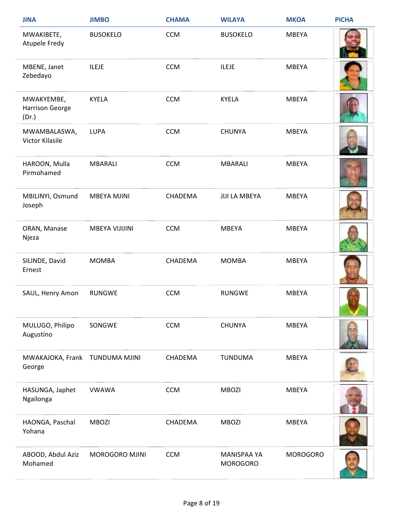| <b>JINA</b>                              | <b>JIMBO</b>       | <b>CHAMA</b> | <b>WILAYA</b>                         | <b>MKOA</b>     | <b>PICHA</b> |
|------------------------------------------|--------------------|--------------|---------------------------------------|-----------------|--------------|
| MWAKIBETE,<br>Atupele Fredy              | <b>BUSOKELO</b>    | <b>CCM</b>   | <b>BUSOKELO</b>                       | <b>MBEYA</b>    |              |
| MBENE, Janet<br>Zebedayo                 | <b>ILEJE</b>       | <b>CCM</b>   | <b>ILEJE</b>                          | <b>MBEYA</b>    |              |
| MWAKYEMBE,<br>Harrison George<br>(Dr.)   | <b>KYELA</b>       | <b>CCM</b>   | <b>KYELA</b>                          | <b>MBEYA</b>    |              |
| MWAMBALASWA,<br>Victor Kilasile          | <b>LUPA</b>        | <b>CCM</b>   | <b>CHUNYA</b>                         | <b>MBEYA</b>    |              |
| HAROON, Mulla<br>Pirmohamed              | <b>MBARALI</b>     | <b>CCM</b>   | <b>MBARALI</b>                        | <b>MBEYA</b>    |              |
| MBILINYI, Osmund<br>Joseph               | <b>MBEYA MJINI</b> | CHADEMA      | <b>JIJI LA MBEYA</b>                  | <b>MBEYA</b>    |              |
| ORAN, Manase<br>Njeza                    | MBEYA VIJIJINI     | <b>CCM</b>   | <b>MBEYA</b>                          | <b>MBEYA</b>    |              |
| SILINDE, David<br>Ernest                 | <b>MOMBA</b>       | CHADEMA      | <b>MOMBA</b>                          | <b>MBEYA</b>    |              |
| SAUL, Henry Amon                         | <b>RUNGWE</b>      | <b>CCM</b>   | <b>RUNGWE</b>                         | <b>MBEYA</b>    |              |
| MULUGO, Philipo<br>Augustino             | SONGWE             | <b>CCM</b>   | <b>CHUNYA</b>                         | <b>MBEYA</b>    |              |
| MWAKAJOKA, Frank TUNDUMA MJINI<br>George |                    | CHADEMA      | <b>TUNDUMA</b>                        | <b>MBEYA</b>    |              |
| HASUNGA, Japhet<br>Ngailonga             | <b>VWAWA</b>       | <b>CCM</b>   | <b>MBOZI</b>                          | <b>MBEYA</b>    |              |
| HAONGA, Paschal<br>Yohana                | <b>MBOZI</b>       | CHADEMA      | <b>MBOZI</b>                          | <b>MBEYA</b>    |              |
| ABOOD, Abdul Aziz<br>Mohamed             | MOROGORO MJINI     | <b>CCM</b>   | <b>MANISPAA YA</b><br><b>MOROGORO</b> | <b>MOROGORO</b> |              |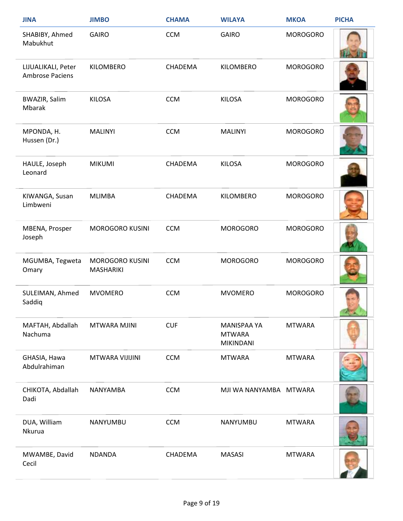| <b>JINA</b>                           | <b>JIMBO</b>                        | <b>CHAMA</b> | <b>WILAYA</b>                                           | <b>MKOA</b>     | <b>PICHA</b> |
|---------------------------------------|-------------------------------------|--------------|---------------------------------------------------------|-----------------|--------------|
| SHABIBY, Ahmed<br>Mabukhut            | <b>GAIRO</b>                        | <b>CCM</b>   | <b>GAIRO</b>                                            | <b>MOROGORO</b> |              |
| LIJUALIKALI, Peter<br>Ambrose Paciens | KILOMBERO                           | CHADEMA      | KILOMBERO                                               | <b>MOROGORO</b> |              |
| <b>BWAZIR, Salim</b><br>Mbarak        | <b>KILOSA</b>                       | <b>CCM</b>   | <b>KILOSA</b>                                           | <b>MOROGORO</b> |              |
| MPONDA, H.<br>Hussen (Dr.)            | <b>MALINYI</b>                      | <b>CCM</b>   | <b>MALINYI</b>                                          | <b>MOROGORO</b> |              |
| HAULE, Joseph<br>Leonard              | <b>MIKUMI</b>                       | CHADEMA      | <b>KILOSA</b>                                           | <b>MOROGORO</b> |              |
| KIWANGA, Susan<br>Limbweni            | <b>MLIMBA</b>                       | CHADEMA      | KILOMBERO                                               | <b>MOROGORO</b> |              |
| MBENA, Prosper<br>Joseph              | <b>MOROGORO KUSINI</b>              | <b>CCM</b>   | <b>MOROGORO</b>                                         | <b>MOROGORO</b> |              |
| MGUMBA, Tegweta<br>Omary              | <b>MOROGORO KUSINI</b><br>MASHARIKI | <b>CCM</b>   | <b>MOROGORO</b>                                         | <b>MOROGORO</b> |              |
| SULEIMAN, Ahmed<br>Saddiq             | <b>MVOMERO</b>                      | <b>CCM</b>   | <b>MVOMERO</b>                                          | <b>MOROGORO</b> |              |
| MAFTAH, Abdallah<br>Nachuma           | MTWARA MJINI                        | <b>CUF</b>   | <b>MANISPAA YA</b><br><b>MTWARA</b><br><b>MIKINDANI</b> | <b>MTWARA</b>   |              |
| GHASIA, Hawa<br>Abdulrahiman          | MTWARA VIJIJINI                     | <b>CCM</b>   | <b>MTWARA</b>                                           | <b>MTWARA</b>   |              |
| CHIKOTA, Abdallah<br>Dadi             | NANYAMBA                            | <b>CCM</b>   | MJI WA NANYAMBA MTWARA                                  |                 |              |
| DUA, William<br>Nkurua                | NANYUMBU                            | <b>CCM</b>   | NANYUMBU                                                | <b>MTWARA</b>   |              |
| MWAMBE, David<br>Cecil                | <b>NDANDA</b>                       | CHADEMA      | <b>MASASI</b>                                           | <b>MTWARA</b>   |              |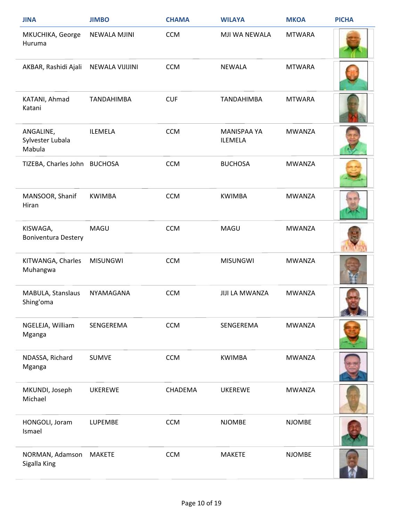| <b>JINA</b>                             | <b>JIMBO</b>        | <b>CHAMA</b> | <b>WILAYA</b>                        | <b>MKOA</b>   | <b>PICHA</b> |
|-----------------------------------------|---------------------|--------------|--------------------------------------|---------------|--------------|
| MKUCHIKA, George<br>Huruma              | <b>NEWALA MJINI</b> | <b>CCM</b>   | MJI WA NEWALA                        | <b>MTWARA</b> |              |
| AKBAR, Rashidi Ajali                    | NEWALA VIJIJINI     | <b>CCM</b>   | <b>NEWALA</b>                        | <b>MTWARA</b> |              |
| KATANI, Ahmad<br>Katani                 | <b>TANDAHIMBA</b>   | <b>CUF</b>   | <b>TANDAHIMBA</b>                    | <b>MTWARA</b> |              |
| ANGALINE,<br>Sylvester Lubala<br>Mabula | <b>ILEMELA</b>      | <b>CCM</b>   | <b>MANISPAA YA</b><br><b>ILEMELA</b> | <b>MWANZA</b> |              |
| TIZEBA, Charles John BUCHOSA            |                     | <b>CCM</b>   | <b>BUCHOSA</b>                       | <b>MWANZA</b> |              |
| MANSOOR, Shanif<br>Hiran                | <b>KWIMBA</b>       | <b>CCM</b>   | <b>KWIMBA</b>                        | <b>MWANZA</b> |              |
| KISWAGA,<br><b>Boniventura Destery</b>  | MAGU                | <b>CCM</b>   | MAGU                                 | <b>MWANZA</b> |              |
| KITWANGA, Charles<br>Muhangwa           | <b>MISUNGWI</b>     | <b>CCM</b>   | <b>MISUNGWI</b>                      | <b>MWANZA</b> |              |
| MABULA, Stanslaus<br>Shing'oma          | NYAMAGANA           | <b>CCM</b>   | <b>JIJI LA MWANZA</b>                | <b>MWANZA</b> |              |
| NGELEJA, William<br>Mganga              | SENGEREMA           | <b>CCM</b>   | SENGEREMA                            | <b>MWANZA</b> |              |
| NDASSA, Richard<br>Mganga               | <b>SUMVE</b>        | <b>CCM</b>   | <b>KWIMBA</b>                        | <b>MWANZA</b> |              |
| MKUNDI, Joseph<br>Michael               | <b>UKEREWE</b>      | CHADEMA      | <b>UKEREWE</b>                       | <b>MWANZA</b> |              |
| HONGOLI, Joram<br>Ismael                | LUPEMBE             | <b>CCM</b>   | <b>NJOMBE</b>                        | <b>NJOMBE</b> |              |
| NORMAN, Adamson<br>Sigalla King         | <b>MAKETE</b>       | <b>CCM</b>   | <b>MAKETE</b>                        | <b>NJOMBE</b> |              |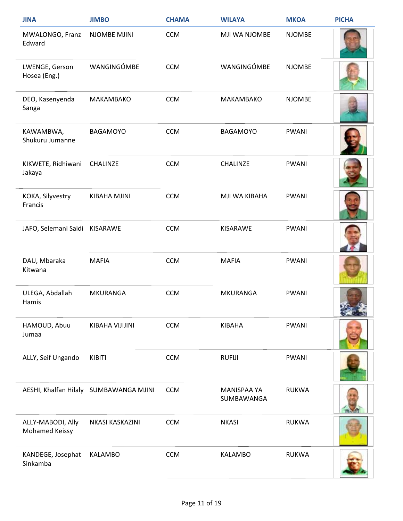| <b>JINA</b>                         | <b>JIMBO</b>                           | <b>CHAMA</b> | <b>WILAYA</b>             | <b>MKOA</b>   | <b>PICHA</b> |
|-------------------------------------|----------------------------------------|--------------|---------------------------|---------------|--------------|
| MWALONGO, Franz<br>Edward           | NJOMBE MJINI                           | <b>CCM</b>   | MJI WA NJOMBE             | <b>NJOMBE</b> |              |
| LWENGE, Gerson<br>Hosea (Eng.)      | WANGINGÓMBE                            | <b>CCM</b>   | WANGINGÓMBE               | <b>NJOMBE</b> |              |
| DEO, Kasenyenda<br>Sanga            | MAKAMBAKO                              | <b>CCM</b>   | MAKAMBAKO                 | <b>NJOMBE</b> |              |
| KAWAMBWA,<br>Shukuru Jumanne        | <b>BAGAMOYO</b>                        | <b>CCM</b>   | <b>BAGAMOYO</b>           | <b>PWANI</b>  |              |
| KIKWETE, Ridhiwani<br>Jakaya        | CHALINZE                               | <b>CCM</b>   | CHALINZE                  | <b>PWANI</b>  |              |
| KOKA, Silyvestry<br>Francis         | KIBAHA MJINI                           | <b>CCM</b>   | MJI WA KIBAHA             | <b>PWANI</b>  |              |
| JAFO, Selemani Saidi KISARAWE       |                                        | <b>CCM</b>   | <b>KISARAWE</b>           | PWANI         |              |
| DAU, Mbaraka<br>Kitwana             | <b>MAFIA</b>                           | <b>CCM</b>   | <b>MAFIA</b>              | <b>PWANI</b>  |              |
| ULEGA, Abdallah<br>Hamis            | <b>MKURANGA</b>                        | <b>CCM</b>   | <b>MKURANGA</b>           | <b>PWANI</b>  |              |
| HAMOUD, Abuu<br>Jumaa               | KIBAHA VIJIJINI                        | <b>CCM</b>   | KIBAHA                    | PWANI         |              |
| ALLY, Seif Ungando                  | KIBITI                                 | <b>CCM</b>   | <b>RUFIJI</b>             | PWANI         |              |
|                                     | AESHI, Khalfan Hilaly SUMBAWANGA MJINI | <b>CCM</b>   | MANISPAA YA<br>SUMBAWANGA | <b>RUKWA</b>  |              |
| ALLY-MABODI, Ally<br>Mohamed Keissy | NKASI KASKAZINI                        | <b>CCM</b>   | <b>NKASI</b>              | <b>RUKWA</b>  |              |
| KANDEGE, Josephat<br>Sinkamba       | <b>KALAMBO</b>                         | CCM          | <b>KALAMBO</b>            | <b>RUKWA</b>  |              |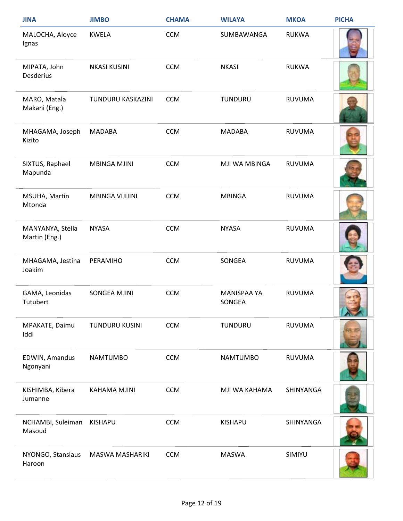| <b>JINA</b>                       | <b>JIMBO</b>           | <b>CHAMA</b> | <b>WILAYA</b>                | <b>MKOA</b>   | <b>PICHA</b> |
|-----------------------------------|------------------------|--------------|------------------------------|---------------|--------------|
| MALOCHA, Aloyce<br>Ignas          | <b>KWELA</b>           | <b>CCM</b>   | SUMBAWANGA                   | <b>RUKWA</b>  |              |
| MIPATA, John<br><b>Desderius</b>  | <b>NKASI KUSINI</b>    | <b>CCM</b>   | <b>NKASI</b>                 | <b>RUKWA</b>  |              |
| MARO, Matala<br>Makani (Eng.)     | TUNDURU KASKAZINI      | <b>CCM</b>   | TUNDURU                      | <b>RUVUMA</b> |              |
| MHAGAMA, Joseph<br>Kizito         | <b>MADABA</b>          | <b>CCM</b>   | <b>MADABA</b>                | <b>RUVUMA</b> |              |
| SIXTUS, Raphael<br>Mapunda        | <b>MBINGA MJINI</b>    | <b>CCM</b>   | MJI WA MBINGA                | <b>RUVUMA</b> |              |
| MSUHA, Martin<br>Mtonda           | <b>MBINGA VIJIJINI</b> | <b>CCM</b>   | <b>MBINGA</b>                | <b>RUVUMA</b> |              |
| MANYANYA, Stella<br>Martin (Eng.) | <b>NYASA</b>           | <b>CCM</b>   | <b>NYASA</b>                 | <b>RUVUMA</b> |              |
| MHAGAMA, Jestina<br>Joakim        | PERAMIHO               | <b>CCM</b>   | SONGEA                       | <b>RUVUMA</b> |              |
| GAMA, Leonidas<br>Tutubert        | <b>SONGEA MJINI</b>    | <b>CCM</b>   | <b>MANISPAA YA</b><br>SONGEA | <b>RUVUMA</b> |              |
| MPAKATE, Daimu<br>Iddi            | <b>TUNDURU KUSINI</b>  | <b>CCM</b>   | TUNDURU                      | <b>RUVUMA</b> |              |
| EDWIN, Amandus<br>Ngonyani        | <b>NAMTUMBO</b>        | <b>CCM</b>   | <b>NAMTUMBO</b>              | <b>RUVUMA</b> |              |
| KISHIMBA, Kibera<br>Jumanne       | <b>KAHAMA MJINI</b>    | <b>CCM</b>   | MJI WA KAHAMA                | SHINYANGA     |              |
| NCHAMBI, Suleiman<br>Masoud       | <b>KISHAPU</b>         | <b>CCM</b>   | <b>KISHAPU</b>               | SHINYANGA     |              |
| NYONGO, Stanslaus<br>Haroon       | <b>MASWA MASHARIKI</b> | <b>CCM</b>   | <b>MASWA</b>                 | SIMIYU        |              |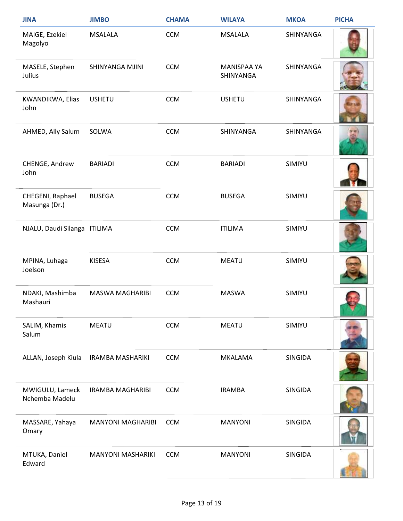| <b>JINA</b>                       | <b>JIMBO</b>             | <b>CHAMA</b> | <b>WILAYA</b>                   | <b>MKOA</b> | <b>PICHA</b> |
|-----------------------------------|--------------------------|--------------|---------------------------------|-------------|--------------|
| MAIGE, Ezekiel<br>Magolyo         | <b>MSALALA</b>           | <b>CCM</b>   | <b>MSALALA</b>                  | SHINYANGA   |              |
| MASELE, Stephen<br>Julius         | SHINYANGA MJINI          | <b>CCM</b>   | <b>MANISPAA YA</b><br>SHINYANGA | SHINYANGA   |              |
| KWANDIKWA, Elias<br>John          | <b>USHETU</b>            | <b>CCM</b>   | <b>USHETU</b>                   | SHINYANGA   |              |
| AHMED, Ally Salum                 | SOLWA                    | <b>CCM</b>   | SHINYANGA                       | SHINYANGA   |              |
| CHENGE, Andrew<br>John            | <b>BARIADI</b>           | <b>CCM</b>   | <b>BARIADI</b>                  | SIMIYU      |              |
| CHEGENI, Raphael<br>Masunga (Dr.) | <b>BUSEGA</b>            | <b>CCM</b>   | <b>BUSEGA</b>                   | SIMIYU      |              |
| NJALU, Daudi Silanga ITILIMA      |                          | <b>CCM</b>   | <b>ITILIMA</b>                  | SIMIYU      |              |
| MPINA, Luhaga<br>Joelson          | <b>KISESA</b>            | <b>CCM</b>   | <b>MEATU</b>                    | SIMIYU      |              |
| NDAKI, Mashimba<br>Mashauri       | <b>MASWA MAGHARIBI</b>   | <b>CCM</b>   | <b>MASWA</b>                    | SIMIYU      |              |
| SALIM, Khamis<br>Salum            | <b>MEATU</b>             | <b>CCM</b>   | <b>MEATU</b>                    | SIMIYU      |              |
| ALLAN, Joseph Kiula               | <b>IRAMBA MASHARIKI</b>  | <b>CCM</b>   | <b>MKALAMA</b>                  | SINGIDA     |              |
| MWIGULU, Lameck<br>Nchemba Madelu | <b>IRAMBA MAGHARIBI</b>  | <b>CCM</b>   | <b>IRAMBA</b>                   | SINGIDA     |              |
| MASSARE, Yahaya<br>Omary          | <b>MANYONI MAGHARIBI</b> | <b>CCM</b>   | <b>MANYONI</b>                  | SINGIDA     |              |
| MTUKA, Daniel<br>Edward           | <b>MANYONI MASHARIKI</b> | <b>CCM</b>   | <b>MANYONI</b>                  | SINGIDA     |              |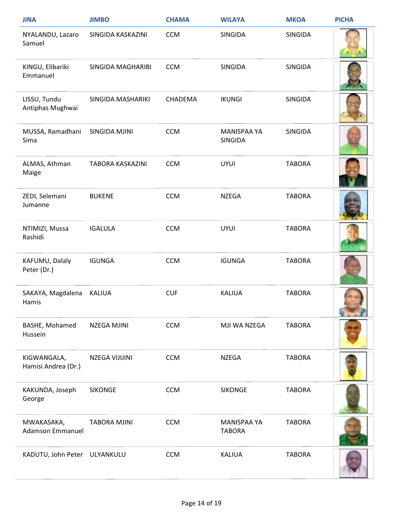| <b>JINA</b>                           | <b>JIMBO</b>        | <b>CHAMA</b> | <b>WILAYA</b>                        | <b>MKOA</b>    | <b>PICHA</b> |
|---------------------------------------|---------------------|--------------|--------------------------------------|----------------|--------------|
| NYALANDU, Lazaro<br>Samuel            | SINGIDA KASKAZINI   | <b>CCM</b>   | SINGIDA                              | <b>SINGIDA</b> |              |
| KINGU, Elibariki<br>Emmanuel          | SINGIDA MAGHARIBI   | <b>CCM</b>   | <b>SINGIDA</b>                       | SINGIDA        |              |
| LISSU, Tundu<br>Antiphas Mughwai      | SINGIDA MASHARIKI   | CHADEMA      | <b>IKUNGI</b>                        | <b>SINGIDA</b> |              |
| MUSSA, Ramadhani<br>Sima              | SINGIDA MJINI       | <b>CCM</b>   | <b>MANISPAA YA</b><br><b>SINGIDA</b> | <b>SINGIDA</b> |              |
| ALMAS, Athman<br>Maige                | TABORA KASKAZINI    | <b>CCM</b>   | <b>UYUI</b>                          | <b>TABORA</b>  |              |
| ZEDI, Selemani<br>Jumanne             | <b>BUKENE</b>       | <b>CCM</b>   | <b>NZEGA</b>                         | <b>TABORA</b>  |              |
| NTIMIZI, Mussa<br>Rashidi             | <b>IGALULA</b>      | <b>CCM</b>   | <b>UYUI</b>                          | <b>TABORA</b>  |              |
| KAFUMU, Dalaly<br>Peter (Dr.)         | <b>IGUNGA</b>       | <b>CCM</b>   | <b>IGUNGA</b>                        | <b>TABORA</b>  |              |
| SAKAYA, Magdalena<br>Hamis            | <b>KALIUA</b>       | <b>CUF</b>   | <b>KALIUA</b>                        | <b>TABORA</b>  |              |
| BASHE, Mohamed<br>Hussein             | <b>NZEGA MJINI</b>  | <b>CCM</b>   | MJI WA NZEGA                         | <b>TABORA</b>  |              |
| KIGWANGALA,<br>Hamisi Andrea (Dr.)    | NZEGA VIJIJINI      | <b>CCM</b>   | <b>NZEGA</b>                         | <b>TABORA</b>  |              |
| KAKUNDA, Joseph<br>George             | <b>SIKONGE</b>      | <b>CCM</b>   | <b>SIKONGE</b>                       | <b>TABORA</b>  |              |
| MWAKASAKA,<br><b>Adamson Emmanuel</b> | <b>TABORA MJINI</b> | <b>CCM</b>   | <b>MANISPAA YA</b><br><b>TABORA</b>  | <b>TABORA</b>  |              |
| KADUTU, John Peter ULYANKULU          |                     | <b>CCM</b>   | <b>KALIUA</b>                        | <b>TABORA</b>  |              |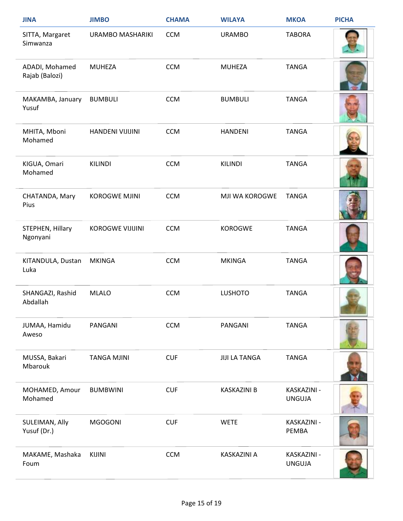| <b>JINA</b>                      | <b>JIMBO</b>            | <b>CHAMA</b> | <b>WILAYA</b>        | <b>MKOA</b>                  | <b>PICHA</b> |
|----------------------------------|-------------------------|--------------|----------------------|------------------------------|--------------|
| SITTA, Margaret<br>Simwanza      | URAMBO MASHARIKI        | <b>CCM</b>   | <b>URAMBO</b>        | <b>TABORA</b>                |              |
| ADADI, Mohamed<br>Rajab (Balozi) | <b>MUHEZA</b>           | <b>CCM</b>   | <b>MUHEZA</b>        | <b>TANGA</b>                 |              |
| MAKAMBA, January<br>Yusuf        | <b>BUMBULI</b>          | <b>CCM</b>   | <b>BUMBULI</b>       | <b>TANGA</b>                 |              |
| MHITA, Mboni<br>Mohamed          | HANDENI VIJIJINI        | <b>CCM</b>   | <b>HANDENI</b>       | <b>TANGA</b>                 |              |
| KIGUA, Omari<br>Mohamed          | <b>KILINDI</b>          | <b>CCM</b>   | <b>KILINDI</b>       | <b>TANGA</b>                 |              |
| CHATANDA, Mary<br>Pius           | <b>KOROGWE MJINI</b>    | <b>CCM</b>   | MJI WA KOROGWE       | <b>TANGA</b>                 |              |
| STEPHEN, Hillary<br>Ngonyani     | <b>KOROGWE VIJIJINI</b> | <b>CCM</b>   | <b>KOROGWE</b>       | <b>TANGA</b>                 |              |
| KITANDULA, Dustan<br>Luka        | <b>MKINGA</b>           | <b>CCM</b>   | <b>MKINGA</b>        | <b>TANGA</b>                 |              |
| SHANGAZI, Rashid<br>Abdallah     | <b>MLALO</b>            | <b>CCM</b>   | <b>LUSHOTO</b>       | <b>TANGA</b>                 |              |
| JUMAA, Hamidu<br>Aweso           | PANGANI                 | <b>CCM</b>   | PANGANI              | <b>TANGA</b>                 |              |
| MUSSA, Bakari<br>Mbarouk         | <b>TANGA MJINI</b>      | <b>CUF</b>   | <b>JIJI LA TANGA</b> | <b>TANGA</b>                 |              |
| MOHAMED, Amour<br>Mohamed        | <b>BUMBWINI</b>         | <b>CUF</b>   | <b>KASKAZINI B</b>   | KASKAZINI -<br><b>UNGUJA</b> |              |
| SULEIMAN, Ally<br>Yusuf (Dr.)    | <b>MGOGONI</b>          | <b>CUF</b>   | <b>WETE</b>          | KASKAZINI -<br>PEMBA         |              |
| MAKAME, Mashaka<br>Foum          | <b>KIJINI</b>           | <b>CCM</b>   | KASKAZINI A          | KASKAZINI -<br><b>UNGUJA</b> |              |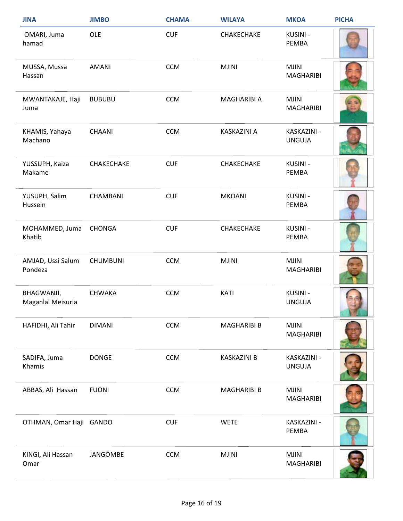| <b>JINA</b>                     | <b>JIMBO</b>    | <b>CHAMA</b> | <b>WILAYA</b>      | <b>MKOA</b>                      | <b>PICHA</b> |
|---------------------------------|-----------------|--------------|--------------------|----------------------------------|--------------|
| OMARI, Juma<br>hamad            | OLE             | <b>CUF</b>   | CHAKECHAKE         | KUSINI -<br>PEMBA                |              |
| MUSSA, Mussa<br>Hassan          | AMANI           | <b>CCM</b>   | <b>MJINI</b>       | <b>MJINI</b><br><b>MAGHARIBI</b> |              |
| MWANTAKAJE, Haji<br>Juma        | <b>BUBUBU</b>   | <b>CCM</b>   | MAGHARIBI A        | <b>MJINI</b><br><b>MAGHARIBI</b> |              |
| KHAMIS, Yahaya<br>Machano       | CHAANI          | <b>CCM</b>   | KASKAZINI A        | KASKAZINI -<br><b>UNGUJA</b>     |              |
| YUSSUPH, Kaiza<br>Makame        | CHAKECHAKE      | <b>CUF</b>   | CHAKECHAKE         | KUSINI -<br><b>PEMBA</b>         |              |
| YUSUPH, Salim<br>Hussein        | <b>CHAMBANI</b> | <b>CUF</b>   | <b>MKOANI</b>      | KUSINI -<br>PEMBA                |              |
| MOHAMMED, Juma<br>Khatib        | <b>CHONGA</b>   | <b>CUF</b>   | CHAKECHAKE         | KUSINI -<br>PEMBA                |              |
| AMJAD, Ussi Salum<br>Pondeza    | <b>CHUMBUNI</b> | <b>CCM</b>   | <b>MJINI</b>       | <b>MJINI</b><br><b>MAGHARIBI</b> |              |
| BHAGWANJI,<br>Maganlal Meisuria | <b>CHWAKA</b>   | <b>CCM</b>   | <b>KATI</b>        | <b>KUSINI -</b><br><b>UNGUJA</b> |              |
| HAFIDHI, Ali Tahir              | <b>DIMANI</b>   | <b>CCM</b>   | <b>MAGHARIBI B</b> | <b>MJINI</b><br><b>MAGHARIBI</b> |              |
| SADIFA, Juma<br>Khamis          | <b>DONGE</b>    | <b>CCM</b>   | <b>KASKAZINI B</b> | KASKAZINI -<br><b>UNGUJA</b>     |              |
| ABBAS, Ali Hassan               | <b>FUONI</b>    | <b>CCM</b>   | <b>MAGHARIBI B</b> | <b>MJINI</b><br><b>MAGHARIBI</b> |              |
| OTHMAN, Omar Haji GANDO         |                 | <b>CUF</b>   | <b>WETE</b>        | KASKAZINI -<br>PEMBA             |              |
| KINGI, Ali Hassan<br>Omar       | JANGÓMBE        | <b>CCM</b>   | <b>MJINI</b>       | <b>MJINI</b><br><b>MAGHARIBI</b> |              |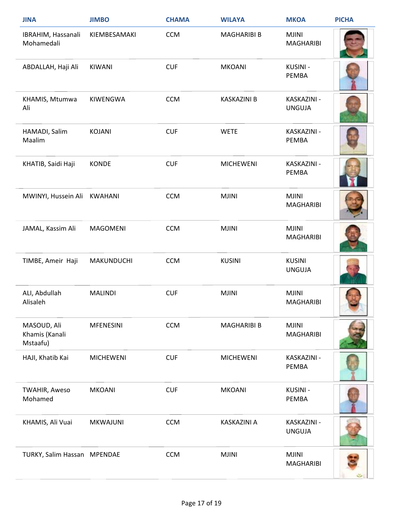| <b>JINA</b>                               | <b>JIMBO</b>      | <b>CHAMA</b> | <b>WILAYA</b>      | <b>MKOA</b>                      | <b>PICHA</b> |
|-------------------------------------------|-------------------|--------------|--------------------|----------------------------------|--------------|
| IBRAHIM, Hassanali<br>Mohamedali          | KIEMBESAMAKI      | <b>CCM</b>   | <b>MAGHARIBI B</b> | <b>MJINI</b><br><b>MAGHARIBI</b> |              |
| ABDALLAH, Haji Ali                        | KIWANI            | <b>CUF</b>   | <b>MKOANI</b>      | KUSINI -<br>PEMBA                |              |
| KHAMIS, Mtumwa<br>Ali                     | KIWENGWA          | <b>CCM</b>   | <b>KASKAZINI B</b> | KASKAZINI -<br><b>UNGUJA</b>     |              |
| HAMADI, Salim<br>Maalim                   | <b>KOJANI</b>     | <b>CUF</b>   | <b>WETE</b>        | KASKAZINI -<br>PEMBA             |              |
| KHATIB, Saidi Haji                        | <b>KONDE</b>      | <b>CUF</b>   | <b>MICHEWENI</b>   | KASKAZINI -<br>PEMBA             |              |
| MWINYI, Hussein Ali                       | KWAHANI           | <b>CCM</b>   | <b>MJINI</b>       | <b>MJINI</b><br><b>MAGHARIBI</b> |              |
| JAMAL, Kassim Ali                         | <b>MAGOMENI</b>   | <b>CCM</b>   | <b>MJINI</b>       | <b>MJINI</b><br><b>MAGHARIBI</b> |              |
| TIMBE, Ameir Haji                         | <b>MAKUNDUCHI</b> | <b>CCM</b>   | <b>KUSINI</b>      | <b>KUSINI</b><br><b>UNGUJA</b>   |              |
| ALI, Abdullah<br>Alisaleh                 | <b>MALINDI</b>    | <b>CUF</b>   | <b>MJINI</b>       | <b>MJINI</b><br><b>MAGHARIBI</b> |              |
| MASOUD, Ali<br>Khamis (Kanali<br>Mstaafu) | <b>MFENESINI</b>  | <b>CCM</b>   | <b>MAGHARIBI B</b> | <b>MJINI</b><br><b>MAGHARIBI</b> |              |
| HAJI, Khatib Kai                          | <b>MICHEWENI</b>  | <b>CUF</b>   | <b>MICHEWENI</b>   | KASKAZINI -<br>PEMBA             |              |
| <b>TWAHIR, Aweso</b><br>Mohamed           | <b>MKOANI</b>     | <b>CUF</b>   | <b>MKOANI</b>      | <b>KUSINI-</b><br>PEMBA          |              |
| KHAMIS, Ali Vuai                          | <b>MKWAJUNI</b>   | <b>CCM</b>   | KASKAZINI A        | KASKAZINI -<br><b>UNGUJA</b>     |              |
| TURKY, Salim Hassan MPENDAE               |                   | <b>CCM</b>   | <b>MJINI</b>       | <b>MJINI</b><br><b>MAGHARIBI</b> |              |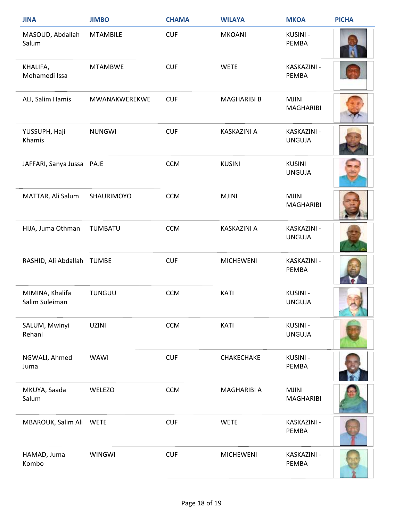| <b>JINA</b>                       | <b>JIMBO</b>    | <b>CHAMA</b> | <b>WILAYA</b>      | <b>MKOA</b>                      | <b>PICHA</b> |
|-----------------------------------|-----------------|--------------|--------------------|----------------------------------|--------------|
| MASOUD, Abdallah<br>Salum         | <b>MTAMBILE</b> | <b>CUF</b>   | <b>MKOANI</b>      | KUSINI -<br>PEMBA                |              |
| KHALIFA,<br>Mohamedi Issa         | <b>MTAMBWE</b>  | <b>CUF</b>   | <b>WETE</b>        | KASKAZINI -<br>PEMBA             |              |
| ALI, Salim Hamis                  | MWANAKWEREKWE   | <b>CUF</b>   | <b>MAGHARIBI B</b> | <b>MJINI</b><br><b>MAGHARIBI</b> |              |
| YUSSUPH, Haji<br>Khamis           | <b>NUNGWI</b>   | <b>CUF</b>   | KASKAZINI A        | KASKAZINI -<br><b>UNGUJA</b>     |              |
| JAFFARI, Sanya Jussa PAJE         |                 | <b>CCM</b>   | <b>KUSINI</b>      | <b>KUSINI</b><br><b>UNGUJA</b>   |              |
| MATTAR, Ali Salum                 | SHAURIMOYO      | <b>CCM</b>   | <b>MJINI</b>       | <b>MJINI</b><br><b>MAGHARIBI</b> |              |
| HIJA, Juma Othman                 | <b>TUMBATU</b>  | <b>CCM</b>   | KASKAZINI A        | KASKAZINI -<br><b>UNGUJA</b>     |              |
| RASHID, Ali Abdallah TUMBE        |                 | <b>CUF</b>   | <b>MICHEWENI</b>   | KASKAZINI -<br><b>PEMBA</b>      |              |
| MIMINA, Khalifa<br>Salim Suleiman | <b>TUNGUU</b>   | <b>CCM</b>   | <b>KATI</b>        | <b>KUSINI -</b><br><b>UNGUJA</b> |              |
| SALUM, Mwinyi<br>Rehani           | <b>UZINI</b>    | <b>CCM</b>   | <b>KATI</b>        | <b>KUSINI-</b><br><b>UNGUJA</b>  |              |
| NGWALI, Ahmed<br>Juma             | WAWI            | <b>CUF</b>   | CHAKECHAKE         | <b>KUSINI-</b><br><b>PEMBA</b>   |              |
| MKUYA, Saada<br>Salum             | WELEZO          | <b>CCM</b>   | MAGHARIBI A        | <b>MJINI</b><br><b>MAGHARIBI</b> |              |
| MBAROUK, Salim Ali WETE           |                 | <b>CUF</b>   | <b>WETE</b>        | KASKAZINI -<br>PEMBA             |              |
| HAMAD, Juma<br>Kombo              | <b>WINGWI</b>   | <b>CUF</b>   | <b>MICHEWENI</b>   | KASKAZINI -<br><b>PEMBA</b>      |              |